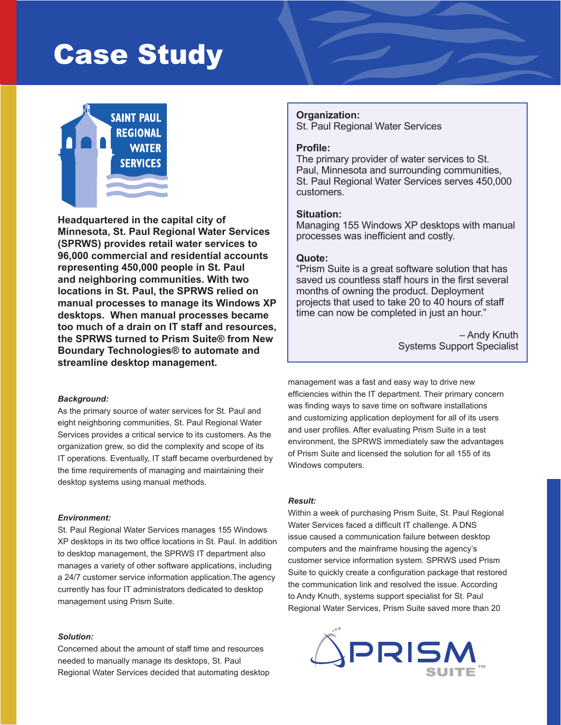# Case Study



**Headquartered in the capital city of Minnesota, St. Paul Regional Water Services (SPRWS) provides retail water services to 96,000 commercial and residential accounts representing 450,000 people in St. Paul and neighboring communities. With two locations in St. Paul, the SPRWS relied on manual processes to manage its Windows XP desktops. When manual processes became too much of a drain on IT staff and resources, the SPRWS turned to Prism Suite® from New Boundary Technologies® to automate and streamline desktop management.**

## *Background:*

As the primary source of water services for St. Paul and eight neighboring communities, St. Paul Regional Water Services provides a critical service to its customers. As the organization grew, so did the complexity and scope of its IT operations. Eventually, IT staff became overburdened by the time requirements of managing and maintaining their desktop systems using manual methods.

#### *Environment:*

St. Paul Regional Water Services manages 155 Windows XP desktops in its two office locations in St. Paul. In addition to desktop management, the SPRWS IT department also manages a variety of other software applications, including a 24/7 customer service information application.The agency currently has four IT administrators dedicated to desktop management using Prism Suite.

#### *Solution:*

Concerned about the amount of staff time and resources needed to manually manage its desktops, St. Paul Regional Water Services decided that automating desktop

# **Organization:**

St. Paul Regional Water Services

# **Profile:**

The primary provider of water services to St. Paul, Minnesota and surrounding communities, St. Paul Regional Water Services serves 450,000 customers.

### **Situation:**

Managing 155 Windows XP desktops with manual processes was inefficient and costly.

# **Quote:**

"Prism Suite is a great software solution that has saved us countless staff hours in the first several months of owning the product. Deployment projects that used to take 20 to 40 hours of staff time can now be completed in just an hour."

> – Andy Knuth Systems Support Specialist

management was a fast and easy way to drive new efficiencies within the IT department. Their primary concern was finding ways to save time on software installations and customizing application deployment for all of its users and user profiles. After evaluating Prism Suite in a test environment, the SPRWS immediately saw the advantages of Prism Suite and licensed the solution for all 155 of its Windows computers.

## *Result:*

Within a week of purchasing Prism Suite, St. Paul Regional Water Services faced a difficult IT challenge. A DNS issue caused a communication failure between desktop computers and the mainframe housing the agency's customer service information system. SPRWS used Prism Suite to quickly create a configuration package that restored the communication link and resolved the issue. According to Andy Knuth, systems support specialist for St. Paul Regional Water Services, Prism Suite saved more than 20